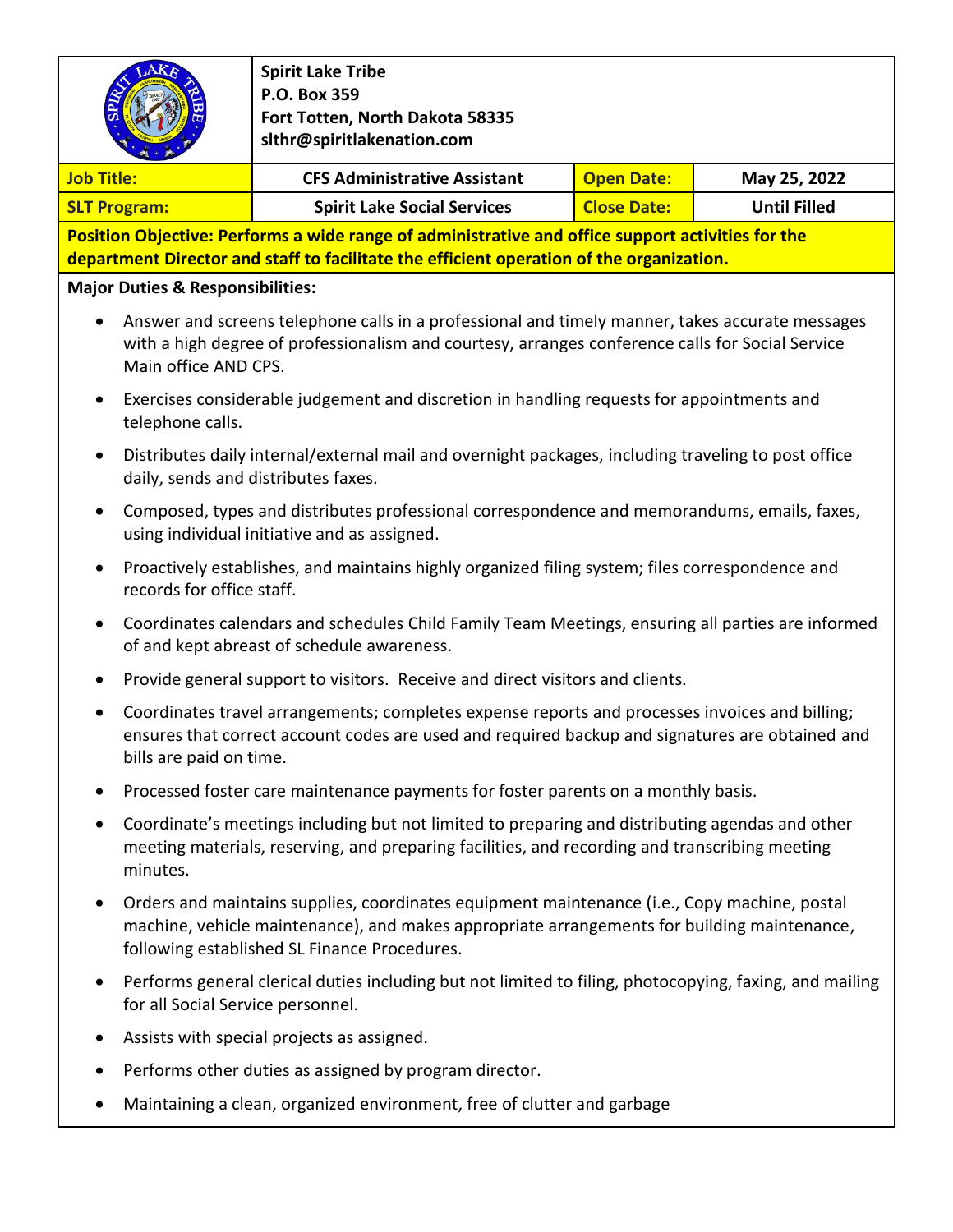|                                                                                                                                                                                                                                           | <b>Spirit Lake Tribe</b><br>P.O. Box 359<br>Fort Totten, North Dakota 58335<br>slthr@spiritlakenation.com                                                                                                                                   |                    |                     |  |  |  |
|-------------------------------------------------------------------------------------------------------------------------------------------------------------------------------------------------------------------------------------------|---------------------------------------------------------------------------------------------------------------------------------------------------------------------------------------------------------------------------------------------|--------------------|---------------------|--|--|--|
| <b>Job Title:</b>                                                                                                                                                                                                                         | <b>CFS Administrative Assistant</b>                                                                                                                                                                                                         | <b>Open Date:</b>  | May 25, 2022        |  |  |  |
| <b>SLT Program:</b>                                                                                                                                                                                                                       | <b>Spirit Lake Social Services</b>                                                                                                                                                                                                          | <b>Close Date:</b> | <b>Until Filled</b> |  |  |  |
| Position Objective: Performs a wide range of administrative and office support activities for the                                                                                                                                         |                                                                                                                                                                                                                                             |                    |                     |  |  |  |
|                                                                                                                                                                                                                                           | department Director and staff to facilitate the efficient operation of the organization.                                                                                                                                                    |                    |                     |  |  |  |
| <b>Major Duties &amp; Responsibilities:</b>                                                                                                                                                                                               |                                                                                                                                                                                                                                             |                    |                     |  |  |  |
| Answer and screens telephone calls in a professional and timely manner, takes accurate messages<br>$\bullet$<br>with a high degree of professionalism and courtesy, arranges conference calls for Social Service<br>Main office AND CPS.  |                                                                                                                                                                                                                                             |                    |                     |  |  |  |
| Exercises considerable judgement and discretion in handling requests for appointments and<br>$\bullet$<br>telephone calls.                                                                                                                |                                                                                                                                                                                                                                             |                    |                     |  |  |  |
| Distributes daily internal/external mail and overnight packages, including traveling to post office<br>$\bullet$<br>daily, sends and distributes faxes.                                                                                   |                                                                                                                                                                                                                                             |                    |                     |  |  |  |
| Composed, types and distributes professional correspondence and memorandums, emails, faxes,<br>$\bullet$<br>using individual initiative and as assigned.                                                                                  |                                                                                                                                                                                                                                             |                    |                     |  |  |  |
| Proactively establishes, and maintains highly organized filing system; files correspondence and<br>$\bullet$<br>records for office staff.                                                                                                 |                                                                                                                                                                                                                                             |                    |                     |  |  |  |
| Coordinates calendars and schedules Child Family Team Meetings, ensuring all parties are informed<br>$\bullet$<br>of and kept abreast of schedule awareness.                                                                              |                                                                                                                                                                                                                                             |                    |                     |  |  |  |
| $\bullet$                                                                                                                                                                                                                                 | Provide general support to visitors. Receive and direct visitors and clients.                                                                                                                                                               |                    |                     |  |  |  |
| Coordinates travel arrangements; completes expense reports and processes invoices and billing;<br>$\bullet$<br>ensures that correct account codes are used and required backup and signatures are obtained and<br>bills are paid on time. |                                                                                                                                                                                                                                             |                    |                     |  |  |  |
|                                                                                                                                                                                                                                           | Processed foster care maintenance payments for foster parents on a monthly basis.                                                                                                                                                           |                    |                     |  |  |  |
| $\bullet$<br>minutes.                                                                                                                                                                                                                     | Coordinate's meetings including but not limited to preparing and distributing agendas and other<br>meeting materials, reserving, and preparing facilities, and recording and transcribing meeting                                           |                    |                     |  |  |  |
| $\bullet$                                                                                                                                                                                                                                 | Orders and maintains supplies, coordinates equipment maintenance (i.e., Copy machine, postal<br>machine, vehicle maintenance), and makes appropriate arrangements for building maintenance,<br>following established SL Finance Procedures. |                    |                     |  |  |  |
| $\bullet$                                                                                                                                                                                                                                 | Performs general clerical duties including but not limited to filing, photocopying, faxing, and mailing<br>for all Social Service personnel.                                                                                                |                    |                     |  |  |  |
|                                                                                                                                                                                                                                           | Assists with special projects as assigned.                                                                                                                                                                                                  |                    |                     |  |  |  |

- Performs other duties as assigned by program director.
- Maintaining a clean, organized environment, free of clutter and garbage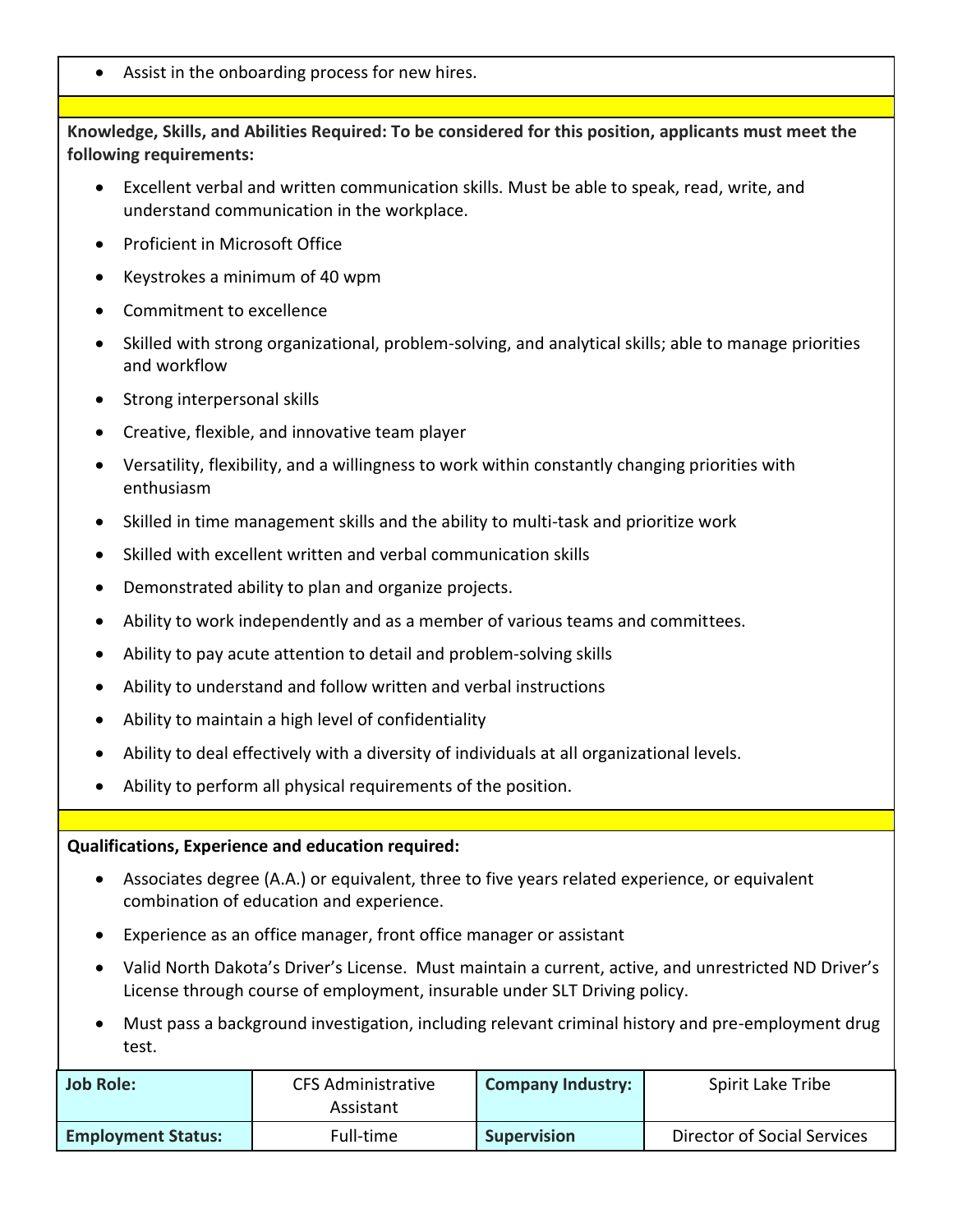• Assist in the onboarding process for new hires.

**Knowledge, Skills, and Abilities Required: To be considered for this position, applicants must meet the following requirements:**

- Excellent verbal and written communication skills. Must be able to speak, read, write, and understand communication in the workplace.
- Proficient in Microsoft Office
- Keystrokes a minimum of 40 wpm
- Commitment to excellence
- Skilled with strong organizational, problem-solving, and analytical skills; able to manage priorities and workflow
- Strong interpersonal skills
- Creative, flexible, and innovative team player
- Versatility, flexibility, and a willingness to work within constantly changing priorities with enthusiasm
- Skilled in time management skills and the ability to multi-task and prioritize work
- Skilled with excellent written and verbal communication skills
- Demonstrated ability to plan and organize projects.
- Ability to work independently and as a member of various teams and committees.
- Ability to pay acute attention to detail and problem-solving skills
- Ability to understand and follow written and verbal instructions
- Ability to maintain a high level of confidentiality
- Ability to deal effectively with a diversity of individuals at all organizational levels.
- Ability to perform all physical requirements of the position.

## **Qualifications, Experience and education required:**

- Associates degree (A.A.) or equivalent, three to five years related experience, or equivalent combination of education and experience.
- Experience as an office manager, front office manager or assistant
- Valid North Dakota's Driver's License. Must maintain a current, active, and unrestricted ND Driver's License through course of employment, insurable under SLT Driving policy.
- Must pass a background investigation, including relevant criminal history and pre-employment drug test.

| Job Role:                 | CFS Administrative<br>Assistant | <b>Company Industry:</b> | Spirit Lake Tribe           |
|---------------------------|---------------------------------|--------------------------|-----------------------------|
| <b>Employment Status:</b> | Full-time                       | <b>Supervision</b>       | Director of Social Services |